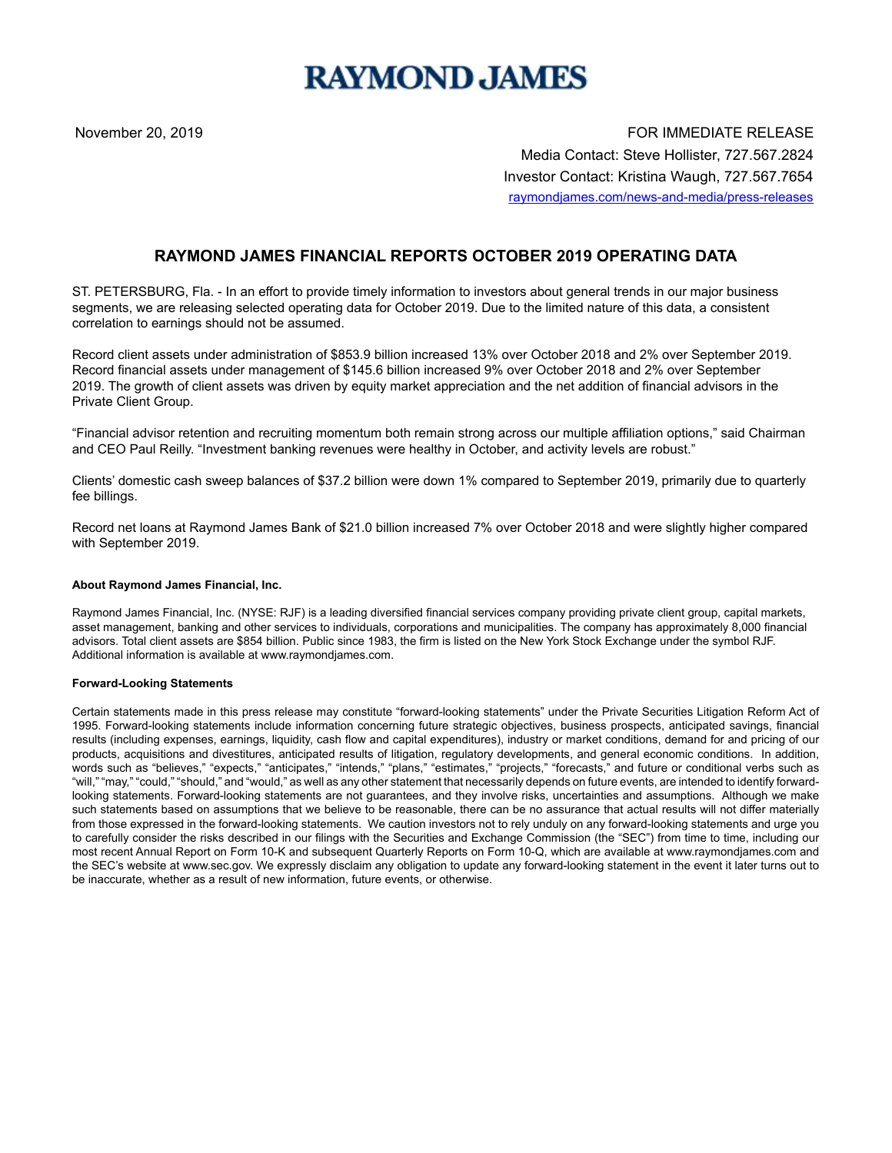# **RAYMOND JAMES**

November 20, 2019 **FOR IMMEDIATE RELEASE** Media Contact: Steve Hollister, 727.567.2824 Investor Contact: Kristina Waugh, 727.567.7654 raymondjames.com/news-and-media/press-releases

## **RAYMOND JAMES FINANCIAL REPORTS OCTOBER 2019 OPERATING DATA**

ST. PETERSBURG, Fla. - In an effort to provide timely information to investors about general trends in our major business segments, we are releasing selected operating data for October 2019. Due to the limited nature of this data, a consistent correlation to earnings should not be assumed.

Record client assets under administration of \$853.9 billion increased 13% over October 2018 and 2% over September 2019. Record financial assets under management of \$145.6 billion increased 9% over October 2018 and 2% over September 2019. The growth of client assets was driven by equity market appreciation and the net addition of financial advisors in the Private Client Group.

"Financial advisor retention and recruiting momentum both remain strong across our multiple affiliation options," said Chairman and CEO Paul Reilly. "Investment banking revenues were healthy in October, and activity levels are robust."

Clients' domestic cash sweep balances of \$37.2 billion were down 1% compared to September 2019, primarily due to quarterly fee billings.

Record net loans at Raymond James Bank of \$21.0 billion increased 7% over October 2018 and were slightly higher compared with September 2019.

#### **About Raymond James Financial, Inc.**

Raymond James Financial, Inc. (NYSE: RJF) is a leading diversified financial services company providing private client group, capital markets, asset management, banking and other services to individuals, corporations and municipalities. The company has approximately 8,000 financial advisors. Total client assets are \$854 billion. Public since 1983, the firm is listed on the New York Stock Exchange under the symbol RJF. Additional information is available at www.raymondjames.com.

#### **Forward-Looking Statements**

Certain statements made in this press release may constitute "forward-looking statements" under the Private Securities Litigation Reform Act of 1995. Forward-looking statements include information concerning future strategic objectives, business prospects, anticipated savings, financial results (including expenses, earnings, liquidity, cash flow and capital expenditures), industry or market conditions, demand for and pricing of our products, acquisitions and divestitures, anticipated results of litigation, regulatory developments, and general economic conditions. In addition, words such as "believes," "expects," "anticipates," "intends," "plans," "estimates," "projects," "forecasts," and future or conditional verbs such as "will," "may," "could," "should," and "would," as well as any other statement that necessarily depends on future events, are intended to identify forwardlooking statements. Forward-looking statements are not guarantees, and they involve risks, uncertainties and assumptions. Although we make such statements based on assumptions that we believe to be reasonable, there can be no assurance that actual results will not differ materially from those expressed in the forward-looking statements. We caution investors not to rely unduly on any forward-looking statements and urge you to carefully consider the risks described in our filings with the Securities and Exchange Commission (the "SEC") from time to time, including our most recent Annual Report on Form 10-K and subsequent Quarterly Reports on Form 10-Q, which are available at www.raymondjames.com and the SEC's website at www.sec.gov. We expressly disclaim any obligation to update any forward-looking statement in the event it later turns out to be inaccurate, whether as a result of new information, future events, or otherwise.